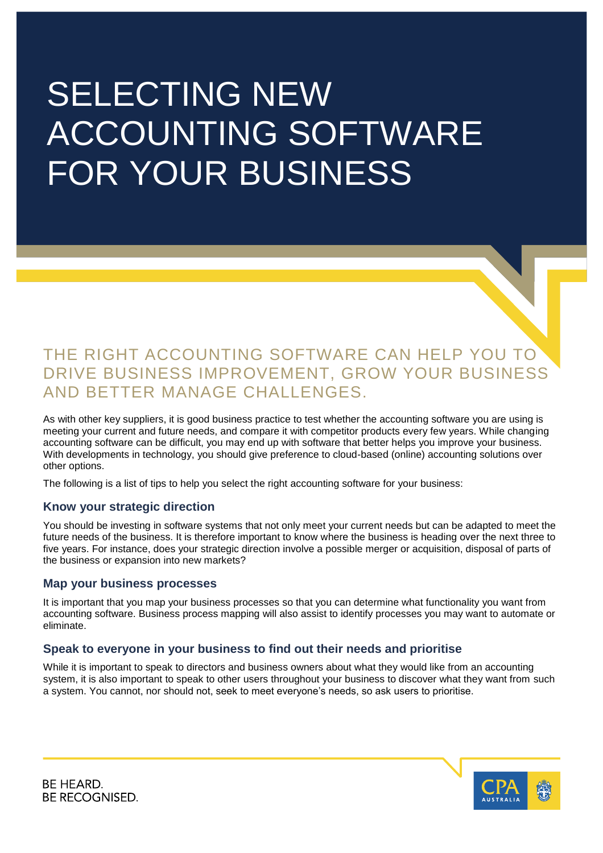# SELECTING NEW ACCOUNTING SOFTWARE FOR YOUR BUSINESS

# THE RIGHT ACCOUNTING SOFTWARE CAN HELP YOU TO DRIVE BUSINESS IMPROVEMENT, GROW YOUR BUSINESS AND BETTER MANAGE CHALLENGES.

As with other key suppliers, it is good business practice to test whether the accounting software you are using is meeting your current and future needs, and compare it with competitor products every few years. While changing accounting software can be difficult, you may end up with software that better helps you improve your business. With developments in technology, you should give preference to cloud-based (online) accounting solutions over other options.

The following is a list of tips to help you select the right accounting software for your business:

# **Know your strategic direction**

You should be investing in software systems that not only meet your current needs but can be adapted to meet the future needs of the business. It is therefore important to know where the business is heading over the next three to five years. For instance, does your strategic direction involve a possible merger or acquisition, disposal of parts of the business or expansion into new markets?

#### **Map your business processes**

It is important that you map your business processes so that you can determine what functionality you want from accounting software. Business process mapping will also assist to identify processes you may want to automate or eliminate.

# **Speak to everyone in your business to find out their needs and prioritise**

While it is important to speak to directors and business owners about what they would like from an accounting system, it is also important to speak to other users throughout your business to discover what they want from such a system. You cannot, nor should not, seek to meet everyone's needs, so ask users to prioritise.



BE HEARD. BE RECOGNISED.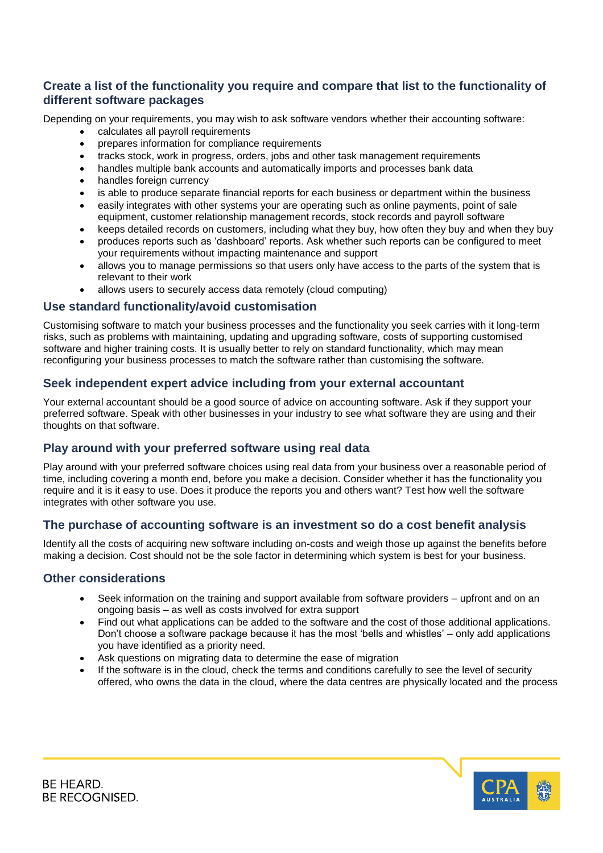# **Create a list of the functionality you require and compare that list to the functionality of different software packages**

Depending on your requirements, you may wish to ask software vendors whether their accounting software:

- calculates all payroll requirements
- prepares information for compliance requirements
- tracks stock, work in progress, orders, jobs and other task management requirements
- handles multiple bank accounts and automatically imports and processes bank data
- handles foreign currency
- is able to produce separate financial reports for each business or department within the business
- easily integrates with other systems your are operating such as online payments, point of sale equipment, customer relationship management records, stock records and payroll software
- keeps detailed records on customers, including what they buy, how often they buy and when they buy
- produces reports such as 'dashboard' reports. Ask whether such reports can be configured to meet
- your requirements without impacting maintenance and support allows you to manage permissions so that users only have access to the parts of the system that is relevant to their work
- allows users to securely access data remotely (cloud computing)

#### **Use standard functionality/avoid customisation**

Customising software to match your business processes and the functionality you seek carries with it long-term risks, such as problems with maintaining, updating and upgrading software, costs of supporting customised software and higher training costs. It is usually better to rely on standard functionality, which may mean reconfiguring your business processes to match the software rather than customising the software.

# **Seek independent expert advice including from your external accountant**

Your external accountant should be a good source of advice on accounting software. Ask if they support your preferred software. Speak with other businesses in your industry to see what software they are using and their thoughts on that software.

# **Play around with your preferred software using real data**

Play around with your preferred software choices using real data from your business over a reasonable period of time, including covering a month end, before you make a decision. Consider whether it has the functionality you require and it is it easy to use. Does it produce the reports you and others want? Test how well the software integrates with other software you use.

# **The purchase of accounting software is an investment so do a cost benefit analysis**

Identify all the costs of acquiring new software including on-costs and weigh those up against the benefits before making a decision. Cost should not be the sole factor in determining which system is best for your business.

#### **Other considerations**

- Seek information on the training and support available from software providers upfront and on an ongoing basis – as well as costs involved for extra support
- Find out what applications can be added to the software and the cost of those additional applications. Don't choose a software package because it has the most 'bells and whistles' – only add applications you have identified as a priority need.
- Ask questions on migrating data to determine the ease of migration
- If the software is in the cloud, check the terms and conditions carefully to see the level of security offered, who owns the data in the cloud, where the data centres are physically located and the process



BE HEARD. BE RECOGNISED.